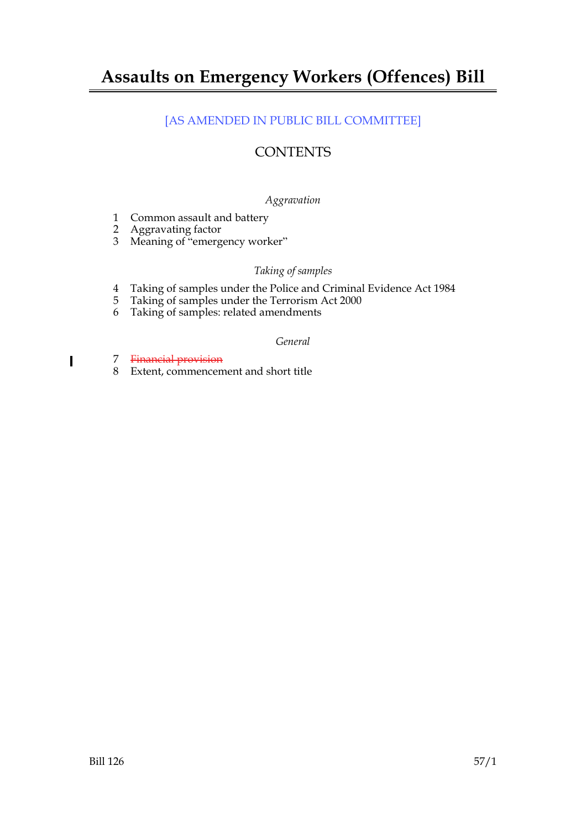# **Assaults on Emergency Workers (Offences) Bill**

# [AS AMENDED IN PUBLIC BILL COMMITTEE]

# **CONTENTS**

# *Aggravation*

- 1 Common assault and battery
- 2 Aggravating factor
- 3 Meaning of "emergency worker"

# *Taking of samples*

- 4 Taking of samples under the Police and Criminal Evidence Act 1984<br>5 Taking of samples under the Terrorism Act 2000
- 5 Taking of samples under the Terrorism Act 2000
- 6 Taking of samples: related amendments

# *General*

7 Financial provision

 $\blacksquare$ 

8 Extent, commencement and short title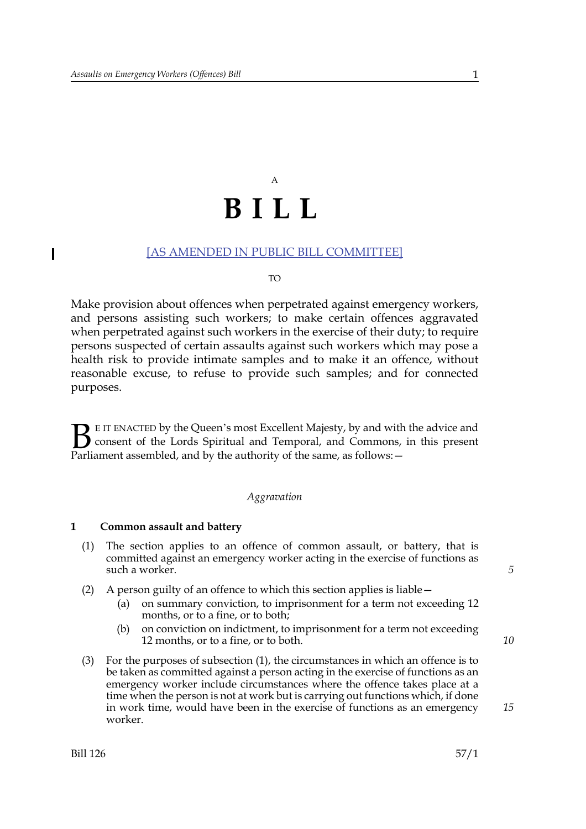# A **BILL**

# [AS AMENDED IN PUBLIC BILL COMMITTEE]

#### $T<sub>O</sub>$

Make provision about offences when perpetrated against emergency workers, and persons assisting such workers; to make certain offences aggravated when perpetrated against such workers in the exercise of their duty; to require persons suspected of certain assaults against such workers which may pose a health risk to provide intimate samples and to make it an offence, without reasonable excuse, to refuse to provide such samples; and for connected purposes.

E IT ENACTED by the Queen's most Excellent Majesty, by and with the advice and consent of the Lords Spiritual and Temporal, and Commons, in this present Parliament assembled, and by the authority of the same, as follows:  $B_{\text{p}}$ 

### *Aggravation*

### **1 Common assault and battery**

- (1) The section applies to an offence of common assault, or battery, that is committed against an emergency worker acting in the exercise of functions as such a worker.
- (2) A person guilty of an offence to which this section applies is liable—
	- (a) on summary conviction, to imprisonment for a term not exceeding 12 months, or to a fine, or to both;
	- (b) on conviction on indictment, to imprisonment for a term not exceeding 12 months, or to a fine, or to both.
- (3) For the purposes of subsection (1), the circumstances in which an offence is to be taken as committed against a person acting in the exercise of functions as an emergency worker include circumstances where the offence takes place at a time when the person is not at work but is carrying out functions which, if done in work time, would have been in the exercise of functions as an emergency worker.

*5*

*10*

 $\overline{\phantom{a}}$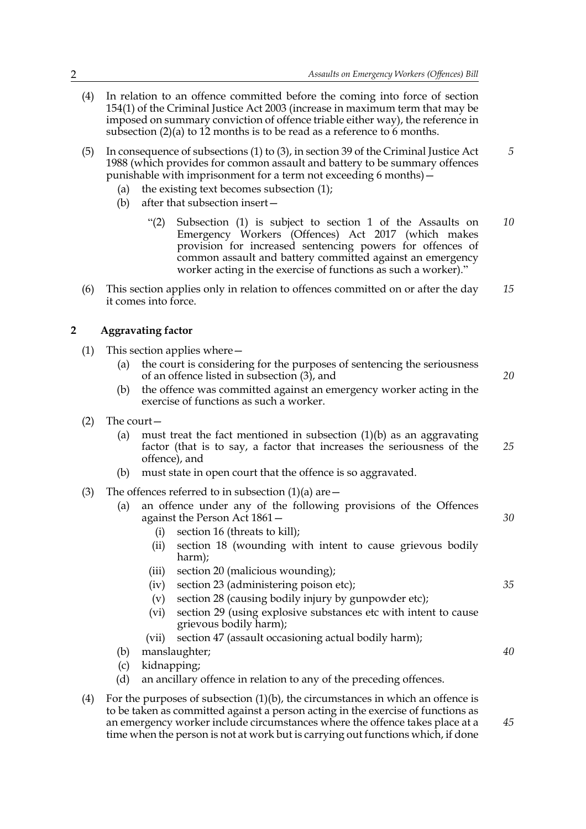- (4) In relation to an offence committed before the coming into force of section 154(1) of the Criminal Justice Act 2003 (increase in maximum term that may be imposed on summary conviction of offence triable either way), the reference in subsection  $(2)(a)$  to 12 months is to be read as a reference to 6 months.
- (5) In consequence of subsections (1) to (3), in section 39 of the Criminal Justice Act 1988 (which provides for common assault and battery to be summary offences punishable with imprisonment for a term not exceeding 6 months)—
	- (a) the existing text becomes subsection (1);
	- (b) after that subsection insert—
		- "(2) Subsection (1) is subject to section 1 of the Assaults on Emergency Workers (Offences) Act 2017 (which makes provision for increased sentencing powers for offences of common assault and battery committed against an emergency worker acting in the exercise of functions as such a worker)." *10*
- (6) This section applies only in relation to offences committed on or after the day it comes into force. *15*

# **2 Aggravating factor**

- (1) This section applies where—
	- (a) the court is considering for the purposes of sentencing the seriousness of an offence listed in subsection (3), and *20*
	- (b) the offence was committed against an emergency worker acting in the exercise of functions as such a worker.
- (2) The court—
	- (a) must treat the fact mentioned in subsection (1)(b) as an aggravating factor (that is to say, a factor that increases the seriousness of the offence), and *25*
	- (b) must state in open court that the offence is so aggravated.
- (3) The offences referred to in subsection  $(1)(a)$  are  $-$ 
	- (a) an offence under any of the following provisions of the Offences against the Person Act 1861—
		- (i) section 16 (threats to kill);
		- (ii) section 18 (wounding with intent to cause grievous bodily harm);
		- (iii) section 20 (malicious wounding);
		- (iv) section 23 (administering poison etc);
		- (v) section 28 (causing bodily injury by gunpowder etc);
		- (vi) section 29 (using explosive substances etc with intent to cause grievous bodily harm);
		- (vii) section 47 (assault occasioning actual bodily harm);
	- (b) manslaughter;
	- (c) kidnapping;
	- (d) an ancillary offence in relation to any of the preceding offences.
- (4) For the purposes of subsection  $(1)(b)$ , the circumstances in which an offence is to be taken as committed against a person acting in the exercise of functions as an emergency worker include circumstances where the offence takes place at a time when the person is not at work but is carrying out functions which, if done

*45*

*30*

*35*

*40*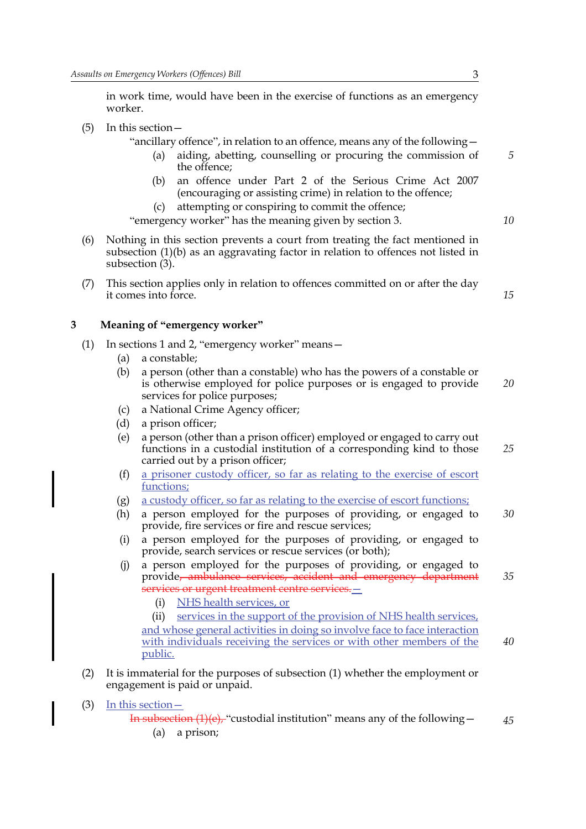in work time, would have been in the exercise of functions as an emergency worker.

(5) In this section—

"ancillary offence", in relation to an offence, means any of the following—

- (a) aiding, abetting, counselling or procuring the commission of the offence;
- (b) an offence under Part 2 of the Serious Crime Act 2007 (encouraging or assisting crime) in relation to the offence;
- (c) attempting or conspiring to commit the offence;

"emergency worker" has the meaning given by section 3.

- (6) Nothing in this section prevents a court from treating the fact mentioned in subsection (1)(b) as an aggravating factor in relation to offences not listed in subsection (3).
- (7) This section applies only in relation to offences committed on or after the day it comes into force.

## **3 Meaning of "emergency worker"**

- (1) In sections 1 and 2, "emergency worker" means—
	- (a) a constable;
	- (b) a person (other than a constable) who has the powers of a constable or is otherwise employed for police purposes or is engaged to provide services for police purposes; *20*
	- (c) a National Crime Agency officer;
	- (d) a prison officer;
	- (e) a person (other than a prison officer) employed or engaged to carry out functions in a custodial institution of a corresponding kind to those carried out by a prison officer;
	- (f) a prisoner custody officer, so far as relating to the exercise of escort functions;
	- (g) a custody officer, so far as relating to the exercise of escort functions;
	- (h) a person employed for the purposes of providing, or engaged to provide, fire services or fire and rescue services; *30*
	- (i) a person employed for the purposes of providing, or engaged to provide, search services or rescue services (or both);
	- (j) a person employed for the purposes of providing, or engaged to provide, ambulance services, accident and emergency department services or urgent treatment centre services. -*35*
		- (i) NHS health services, or

(ii) services in the support of the provision of NHS health services, and whose general activities in doing so involve face to face interaction with individuals receiving the services or with other members of the public. *40*

- (2) It is immaterial for the purposes of subsection (1) whether the employment or engagement is paid or unpaid.
- (3) In this section—

In subsection  $(1)(e)$ , "custodial institution" means any of the following – *45*

(a) a prison;

*5*

*10*

*15*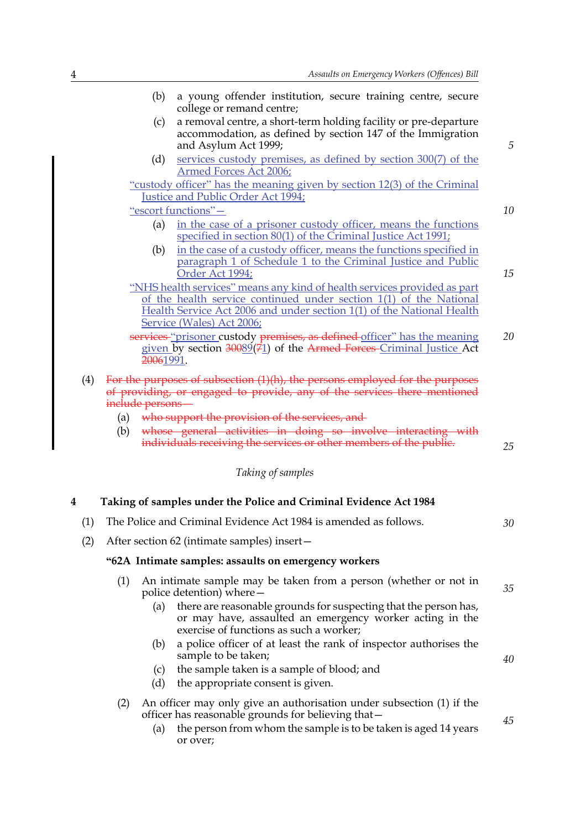|     |                                                                                                                                                                              | (b)                                                                                                                                                                      | a young offender institution, secure training centre, secure                                                                                                                                    |    |
|-----|------------------------------------------------------------------------------------------------------------------------------------------------------------------------------|--------------------------------------------------------------------------------------------------------------------------------------------------------------------------|-------------------------------------------------------------------------------------------------------------------------------------------------------------------------------------------------|----|
|     | (c)                                                                                                                                                                          |                                                                                                                                                                          | college or remand centre;<br>a removal centre, a short-term holding facility or pre-departure                                                                                                   |    |
|     |                                                                                                                                                                              |                                                                                                                                                                          | accommodation, as defined by section 147 of the Immigration                                                                                                                                     | 5  |
|     |                                                                                                                                                                              | (d)                                                                                                                                                                      | and Asylum Act 1999;<br>services custody premises, as defined by section 300(7) of the                                                                                                          |    |
|     |                                                                                                                                                                              |                                                                                                                                                                          | Armed Forces Act 2006;                                                                                                                                                                          |    |
|     | "custody officer" has the meaning given by section 12(3) of the Criminal<br>Justice and Public Order Act 1994;                                                               |                                                                                                                                                                          |                                                                                                                                                                                                 |    |
|     | "escort functions"-                                                                                                                                                          |                                                                                                                                                                          |                                                                                                                                                                                                 | 10 |
|     |                                                                                                                                                                              | (a)                                                                                                                                                                      | in the case of a prisoner custody officer, means the functions<br>specified in section 80(1) of the Criminal Justice Act 1991;                                                                  |    |
|     |                                                                                                                                                                              | (b)                                                                                                                                                                      | in the case of a custody officer, means the functions specified in<br>paragraph 1 of Schedule 1 to the Criminal Justice and Public<br>Order Act 1994;                                           | 15 |
|     | "NHS health services" means any kind of health services provided as part                                                                                                     |                                                                                                                                                                          |                                                                                                                                                                                                 |    |
|     |                                                                                                                                                                              | of the health service continued under section 1(1) of the National<br>Health Service Act 2006 and under section 1(1) of the National Health<br>Service (Wales) Act 2006; |                                                                                                                                                                                                 |    |
|     |                                                                                                                                                                              | services "prisoner custody premises, as defined officer" has the meaning                                                                                                 |                                                                                                                                                                                                 |    |
|     |                                                                                                                                                                              | given by section 30089(71) of the Armed Forces-Criminal Justice Act<br>20061991.                                                                                         |                                                                                                                                                                                                 |    |
| (4) | For the purposes of subsection (1)(h), the persons employed for the purposes<br>of providing, or engaged to provide, any of the services there mentioned<br>include persons- |                                                                                                                                                                          |                                                                                                                                                                                                 |    |
|     | (a)                                                                                                                                                                          |                                                                                                                                                                          | who support the provision of the services, and                                                                                                                                                  |    |
|     | (b)                                                                                                                                                                          |                                                                                                                                                                          | whose general activities in doing so involve interacting with<br>individuals receiving the services or other members of the public.                                                             | 25 |
|     |                                                                                                                                                                              |                                                                                                                                                                          | Taking of samples                                                                                                                                                                               |    |
| 4   |                                                                                                                                                                              |                                                                                                                                                                          | Taking of samples under the Police and Criminal Evidence Act 1984                                                                                                                               |    |
|     | (1) The Police and Criminal Evidence Act 1984 is amended as follows.                                                                                                         |                                                                                                                                                                          |                                                                                                                                                                                                 | 30 |
| (2) | After section 62 (intimate samples) insert-                                                                                                                                  |                                                                                                                                                                          |                                                                                                                                                                                                 |    |
|     | "62A Intimate samples: assaults on emergency workers                                                                                                                         |                                                                                                                                                                          |                                                                                                                                                                                                 |    |
|     | (1)                                                                                                                                                                          | An intimate sample may be taken from a person (whether or not in<br>police detention) where –                                                                            |                                                                                                                                                                                                 | 35 |
|     |                                                                                                                                                                              | (a)                                                                                                                                                                      | there are reasonable grounds for suspecting that the person has,<br>or may have, assaulted an emergency worker acting in the<br>exercise of functions as such a worker;                         |    |
|     |                                                                                                                                                                              | (b)                                                                                                                                                                      | a police officer of at least the rank of inspector authorises the<br>sample to be taken;                                                                                                        | 40 |
|     |                                                                                                                                                                              | (c)<br>(d)                                                                                                                                                               | the sample taken is a sample of blood; and<br>the appropriate consent is given.                                                                                                                 |    |
|     | (2)                                                                                                                                                                          | (a)                                                                                                                                                                      | An officer may only give an authorisation under subsection (1) if the<br>officer has reasonable grounds for believing that -<br>the person from whom the sample is to be taken is aged 14 years | 45 |
|     |                                                                                                                                                                              |                                                                                                                                                                          | or over;                                                                                                                                                                                        |    |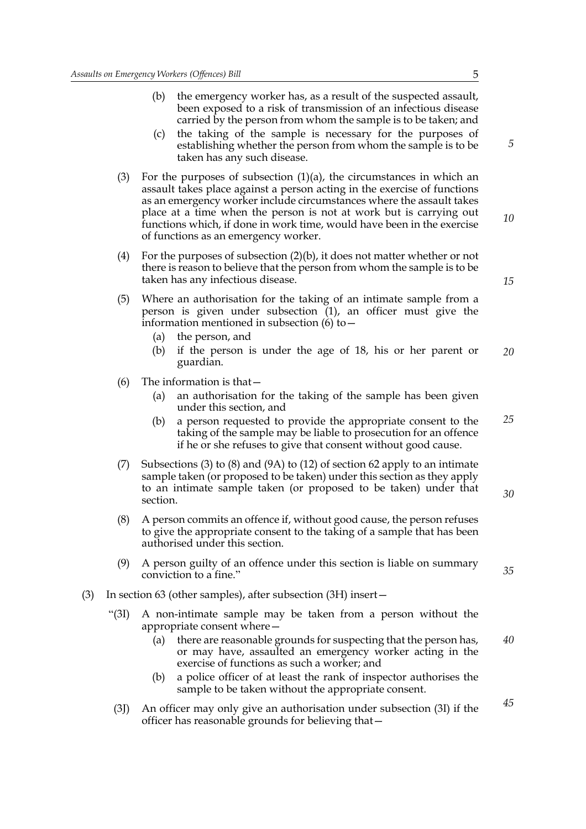- (b) the emergency worker has, as a result of the suspected assault, been exposed to a risk of transmission of an infectious disease carried by the person from whom the sample is to be taken; and
- (c) the taking of the sample is necessary for the purposes of establishing whether the person from whom the sample is to be taken has any such disease.
- (3) For the purposes of subsection  $(1)(a)$ , the circumstances in which an assault takes place against a person acting in the exercise of functions as an emergency worker include circumstances where the assault takes place at a time when the person is not at work but is carrying out functions which, if done in work time, would have been in the exercise of functions as an emergency worker.
- (4) For the purposes of subsection (2)(b), it does not matter whether or not there is reason to believe that the person from whom the sample is to be taken has any infectious disease.
- (5) Where an authorisation for the taking of an intimate sample from a person is given under subsection (1), an officer must give the information mentioned in subsection  $(6)$  to  $-$ 
	- (a) the person, and
	- (b) if the person is under the age of 18, his or her parent or guardian. *20*
- (6) The information is that—
	- (a) an authorisation for the taking of the sample has been given under this section, and
	- (b) a person requested to provide the appropriate consent to the taking of the sample may be liable to prosecution for an offence if he or she refuses to give that consent without good cause. *25*
- (7) Subsections (3) to (8) and (9A) to (12) of section 62 apply to an intimate sample taken (or proposed to be taken) under this section as they apply to an intimate sample taken (or proposed to be taken) under that section.
- (8) A person commits an offence if, without good cause, the person refuses to give the appropriate consent to the taking of a sample that has been authorised under this section.
- (9) A person guilty of an offence under this section is liable on summary conviction to a fine."
- (3) In section 63 (other samples), after subsection (3H) insert—
	- "(3I) A non-intimate sample may be taken from a person without the appropriate consent where—
		- (a) there are reasonable grounds for suspecting that the person has, or may have, assaulted an emergency worker acting in the exercise of functions as such a worker; and *40*
		- (b) a police officer of at least the rank of inspector authorises the sample to be taken without the appropriate consent.
	- (3J) An officer may only give an authorisation under subsection (3I) if the officer has reasonable grounds for believing that—

*5*

*10*

*15*

*35*

*30*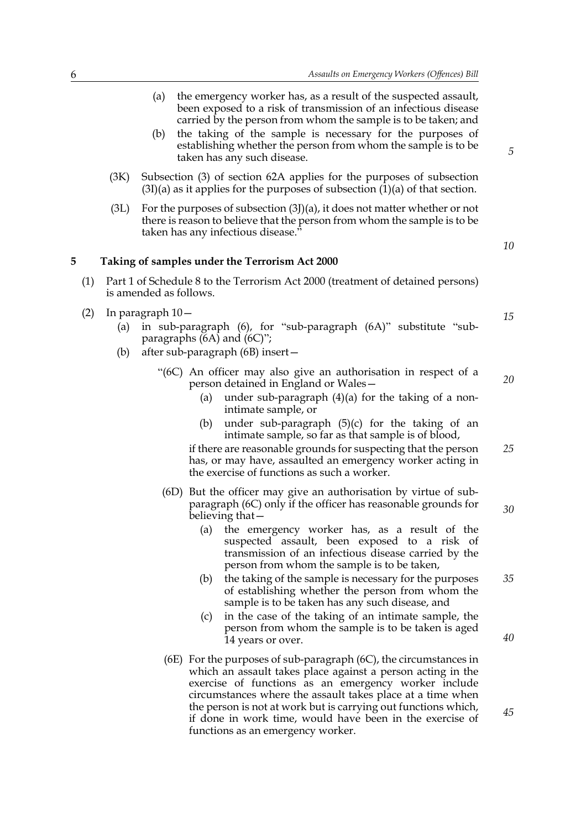- (a) the emergency worker has, as a result of the suspected assault, been exposed to a risk of transmission of an infectious disease carried by the person from whom the sample is to be taken; and
- (b) the taking of the sample is necessary for the purposes of establishing whether the person from whom the sample is to be taken has any such disease.
- (3K) Subsection (3) of section 62A applies for the purposes of subsection  $(3I)(a)$  as it applies for the purposes of subsection  $(1)(a)$  of that section.
- (3L) For the purposes of subsection (3J)(a), it does not matter whether or not there is reason to believe that the person from whom the sample is to be taken has any infectious disease."

**5 Taking of samples under the Terrorism Act 2000**

- (1) Part 1 of Schedule 8 to the Terrorism Act 2000 (treatment of detained persons) is amended as follows.
- (2) In paragraph 10—
	- (a) in sub-paragraph (6), for "sub-paragraph (6A)" substitute "subparagraphs  $(6A)$  and  $(6C)$ ";
	- (b) after sub-paragraph (6B) insert—
		- "(6C) An officer may also give an authorisation in respect of a person detained in England or Wales—
			- (a) under sub-paragraph  $(4)(a)$  for the taking of a nonintimate sample, or
			- (b) under sub-paragraph (5)(c) for the taking of an intimate sample, so far as that sample is of blood,

if there are reasonable grounds for suspecting that the person has, or may have, assaulted an emergency worker acting in the exercise of functions as such a worker.

- (6D) But the officer may give an authorisation by virtue of subparagraph (6C) only if the officer has reasonable grounds for believing that—
	- (a) the emergency worker has, as a result of the suspected assault, been exposed to a risk of transmission of an infectious disease carried by the person from whom the sample is to be taken,
	- (b) the taking of the sample is necessary for the purposes of establishing whether the person from whom the sample is to be taken has any such disease, and *35*
	- (c) in the case of the taking of an intimate sample, the person from whom the sample is to be taken is aged 14 years or over.
- (6E) For the purposes of sub-paragraph (6C), the circumstances in which an assault takes place against a person acting in the exercise of functions as an emergency worker include circumstances where the assault takes place at a time when the person is not at work but is carrying out functions which, if done in work time, would have been in the exercise of functions as an emergency worker.

*5*

*15*

*10*

*20*

*25*

*30*

*40*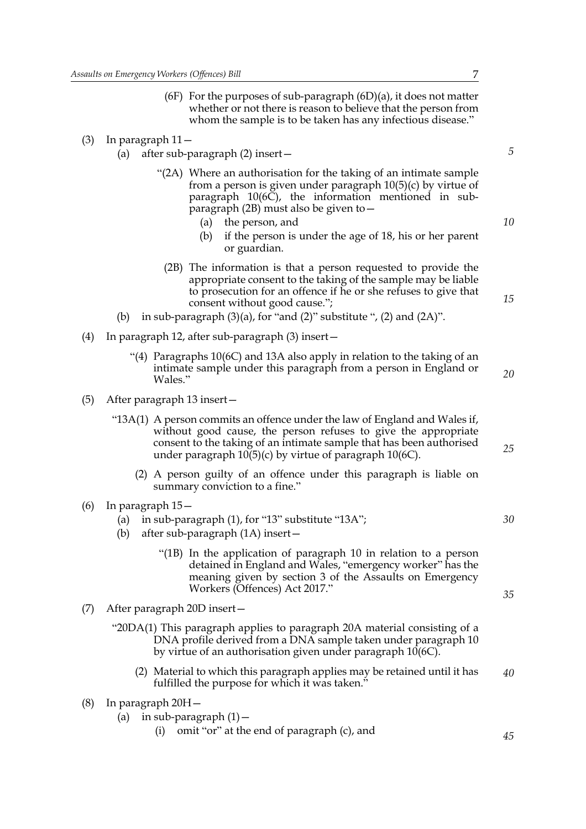- (6F) For the purposes of sub-paragraph  $(6D)(a)$ , it does not matter whether or not there is reason to believe that the person from whom the sample is to be taken has any infectious disease."
- (3) In paragraph 11—
	- (a) after sub-paragraph (2) insert—
		- "(2A) Where an authorisation for the taking of an intimate sample from a person is given under paragraph 10(5)(c) by virtue of paragraph 10(6C), the information mentioned in subparagraph (2B) must also be given to—
			- (a) the person, and
			- (b) if the person is under the age of 18, his or her parent or guardian.
			- (2B) The information is that a person requested to provide the appropriate consent to the taking of the sample may be liable to prosecution for an offence if he or she refuses to give that consent without good cause.";
	- (b) in sub-paragraph  $(3)(a)$ , for "and  $(2)$ " substitute ",  $(2)$  and  $(2A)$ ".
- (4) In paragraph 12, after sub-paragraph (3) insert—
	- "(4) Paragraphs  $10(6C)$  and 13A also apply in relation to the taking of an intimate sample under this paragraph from a person in England or Wales."
- (5) After paragraph 13 insert—
	- "13A(1) A person commits an offence under the law of England and Wales if, without good cause, the person refuses to give the appropriate consent to the taking of an intimate sample that has been authorised under paragraph  $10(5)(c)$  by virtue of paragraph  $10(6C)$ .
		- (2) A person guilty of an offence under this paragraph is liable on summary conviction to a fine."
- (6) In paragraph 15—
	- (a) in sub-paragraph (1), for "13" substitute "13A";
	- (b) after sub-paragraph (1A) insert—
		- "(1B) In the application of paragraph 10 in relation to a person detained in England and Wales, "emergency worker" has the meaning given by section 3 of the Assaults on Emergency Workers (Offences) Act 2017."
- (7) After paragraph 20D insert—
	- "20DA(1) This paragraph applies to paragraph 20A material consisting of a DNA profile derived from a DNA sample taken under paragraph 10 by virtue of an authorisation given under paragraph 10(6C).
		- (2) Material to which this paragraph applies may be retained until it has fulfilled the purpose for which it was taken." *40*
- (8) In paragraph 20H—
	- (a) in sub-paragraph  $(1)$  -
		- (i) omit "or" at the end of paragraph (c), and

*10*

*15*

*5*

*20*

*25*

*30*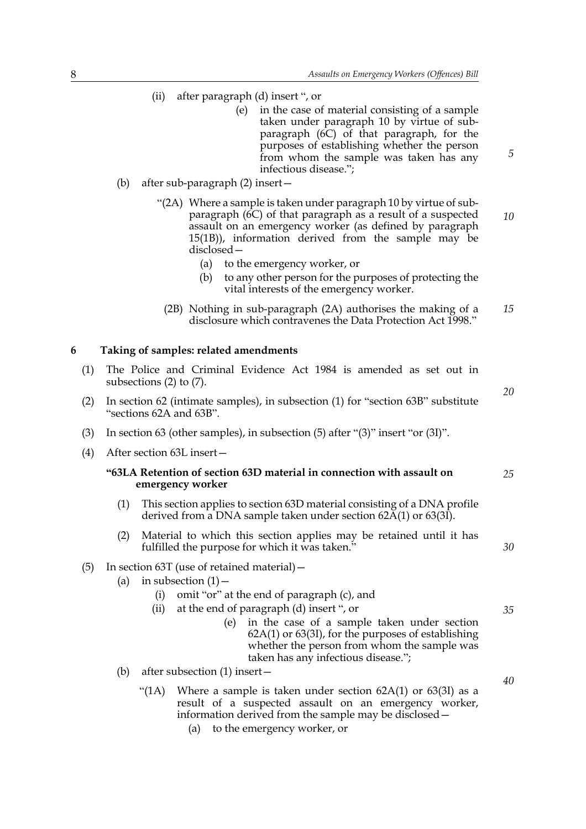- (ii) after paragraph (d) insert ", or
	- (e) in the case of material consisting of a sample taken under paragraph 10 by virtue of subparagraph (6C) of that paragraph, for the purposes of establishing whether the person from whom the sample was taken has any infectious disease.";
- (b) after sub-paragraph (2) insert—
	- "(2A) Where a sample is taken under paragraph 10 by virtue of subparagraph  $(6C)$  of that paragraph as a result of a suspected assault on an emergency worker (as defined by paragraph 15(1B)), information derived from the sample may be disclosed— *10*
		- (a) to the emergency worker, or
		- (b) to any other person for the purposes of protecting the vital interests of the emergency worker.
		- (2B) Nothing in sub-paragraph (2A) authorises the making of a disclosure which contravenes the Data Protection Act 1998." *15*

### **6 Taking of samples: related amendments**

- (1) The Police and Criminal Evidence Act 1984 is amended as set out in subsections (2) to (7).
- (2) In section 62 (intimate samples), in subsection (1) for "section 63B" substitute "sections 62A and 63B".
- (3) In section 63 (other samples), in subsection (5) after "(3)" insert "or (3I)".
- (4) After section 63L insert—

#### **"63LA Retention of section 63D material in connection with assault on emergency worker**

- (1) This section applies to section 63D material consisting of a DNA profile derived from a DNA sample taken under section 62A(1) or 63(3I).
- (2) Material to which this section applies may be retained until it has fulfilled the purpose for which it was taken."

### (5) In section 63T (use of retained material)—

- (a) in subsection  $(1)$  -
	- (i) omit "or" at the end of paragraph (c), and
	- (ii) at the end of paragraph (d) insert ", or
		- (e) in the case of a sample taken under section 62A(1) or 63(3I), for the purposes of establishing whether the person from whom the sample was taken has any infectious disease.";
- (b) after subsection (1) insert—
	- "(1A) Where a sample is taken under section  $62A(1)$  or  $63(3I)$  as a result of a suspected assault on an emergency worker, information derived from the sample may be disclosed—
		- (a) to the emergency worker, or

*40*

*5*

*20*

*25*

*30*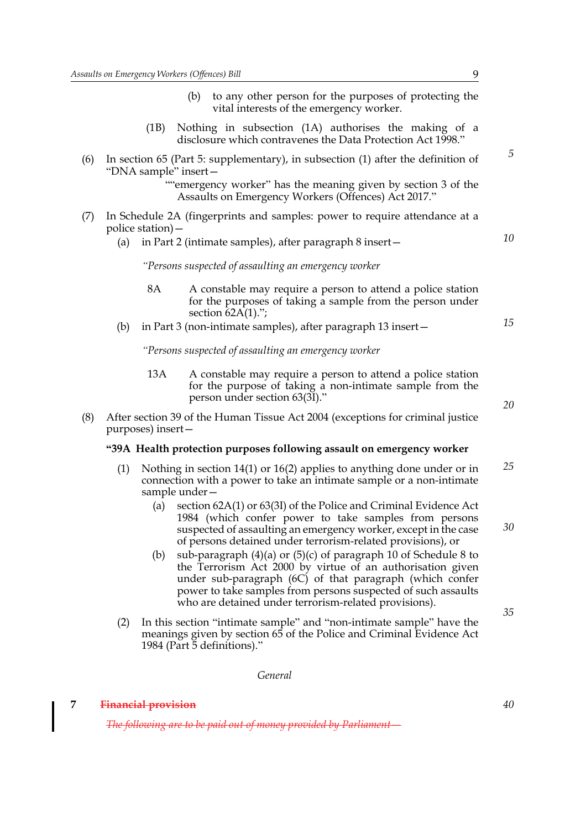- (b) to any other person for the purposes of protecting the vital interests of the emergency worker.
- (1B) Nothing in subsection (1A) authorises the making of a disclosure which contravenes the Data Protection Act 1998."
- (6) In section 65 (Part 5: supplementary), in subsection (1) after the definition of "DNA sample" insert—

""emergency worker" has the meaning given by section 3 of the Assaults on Emergency Workers (Offences) Act 2017."

- (7) In Schedule 2A (fingerprints and samples: power to require attendance at a police station)—
	- (a) in Part 2 (intimate samples), after paragraph 8 insert—

*"Persons suspected of assaulting an emergency worker*

- 8A A constable may require a person to attend a police station for the purposes of taking a sample from the person under section  $62A(1)$ .";
- (b) in Part 3 (non-intimate samples), after paragraph 13 insert—

*"Persons suspected of assaulting an emergency worker*

- 13A A constable may require a person to attend a police station for the purpose of taking a non-intimate sample from the person under section 63(3I)."
- (8) After section 39 of the Human Tissue Act 2004 (exceptions for criminal justice purposes) insert—

#### **"39A Health protection purposes following assault on emergency worker**

- (1) Nothing in section 14(1) or 16(2) applies to anything done under or in connection with a power to take an intimate sample or a non-intimate sample under— *25*
	- (a) section 62A(1) or 63(3I) of the Police and Criminal Evidence Act 1984 (which confer power to take samples from persons suspected of assaulting an emergency worker, except in the case of persons detained under terrorism-related provisions), or
	- (b) sub-paragraph (4)(a) or (5)(c) of paragraph 10 of Schedule 8 to the Terrorism Act 2000 by virtue of an authorisation given under sub-paragraph (6C) of that paragraph (which confer power to take samples from persons suspected of such assaults who are detained under terrorism-related provisions).
- (2) In this section "intimate sample" and "non-intimate sample" have the meanings given by section 65 of the Police and Criminal Evidence Act 1984 (Part 5 definitions)."

*General*

#### **7 Financial provision**

*The following are to be paid out of money provided by Parliament*—

*5*

*15*

*10*



*20*

*30*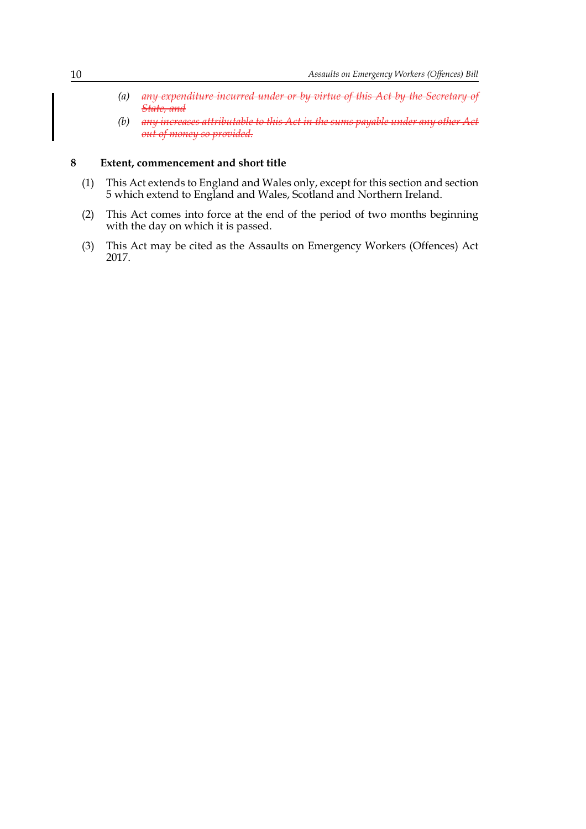- *(a) any expenditure incurred under or by virtue of this Act by the Secretary of State, and*
- *(b) any increases attributable to this Act in the sums payable under any other Act out of money so provided.*

#### **8 Extent, commencement and short title**

- (1) This Act extends to England and Wales only, except for this section and section 5 which extend to England and Wales, Scotland and Northern Ireland.
- (2) This Act comes into force at the end of the period of two months beginning with the day on which it is passed.
- (3) This Act may be cited as the Assaults on Emergency Workers (Offences) Act 2017.